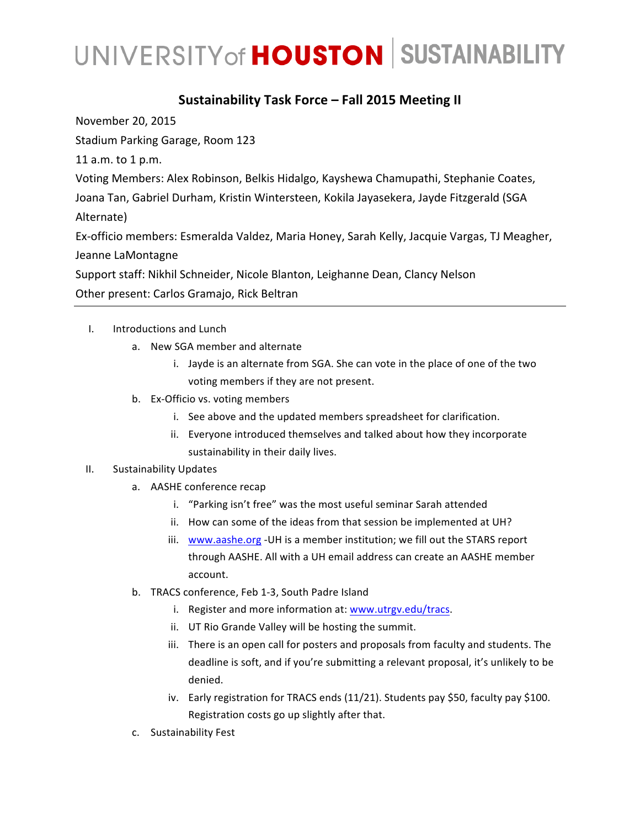#### **Sustainability Task Force – Fall 2015 Meeting II**

November 20, 2015

Stadium Parking Garage, Room 123

11 a.m. to 1 p.m.

Voting Members: Alex Robinson, Belkis Hidalgo, Kayshewa Chamupathi, Stephanie Coates, Joana Tan, Gabriel Durham, Kristin Wintersteen, Kokila Jayasekera, Jayde Fitzgerald (SGA Alternate)

Ex-officio members: Esmeralda Valdez, Maria Honey, Sarah Kelly, Jacquie Vargas, TJ Meagher, Jeanne LaMontagne

Support staff: Nikhil Schneider, Nicole Blanton, Leighanne Dean, Clancy Nelson Other present: Carlos Gramajo, Rick Beltran

- I. Introductions and Lunch
	- a. New SGA member and alternate
		- i. Jayde is an alternate from SGA. She can vote in the place of one of the two voting members if they are not present.
	- b. Ex-Officio vs. voting members
		- i. See above and the updated members spreadsheet for clarification.
		- ii. Everyone introduced themselves and talked about how they incorporate sustainability in their daily lives.

#### II. Sustainability Updates

- a. AASHE conference recap
	- i. "Parking isn't free" was the most useful seminar Sarah attended
	- ii. How can some of the ideas from that session be implemented at UH?
	- iii. www.aashe.org UH is a member institution; we fill out the STARS report through AASHE. All with a UH email address can create an AASHE member account.
- b. TRACS conference, Feb 1-3, South Padre Island
	- i. Register and more information at: www.utrgv.edu/tracs.
	- ii. UT Rio Grande Valley will be hosting the summit.
	- iii. There is an open call for posters and proposals from faculty and students. The deadline is soft, and if you're submitting a relevant proposal, it's unlikely to be denied.
	- iv. Early registration for TRACS ends  $(11/21)$ . Students pay \$50, faculty pay \$100. Registration costs go up slightly after that.
- c. Sustainability Fest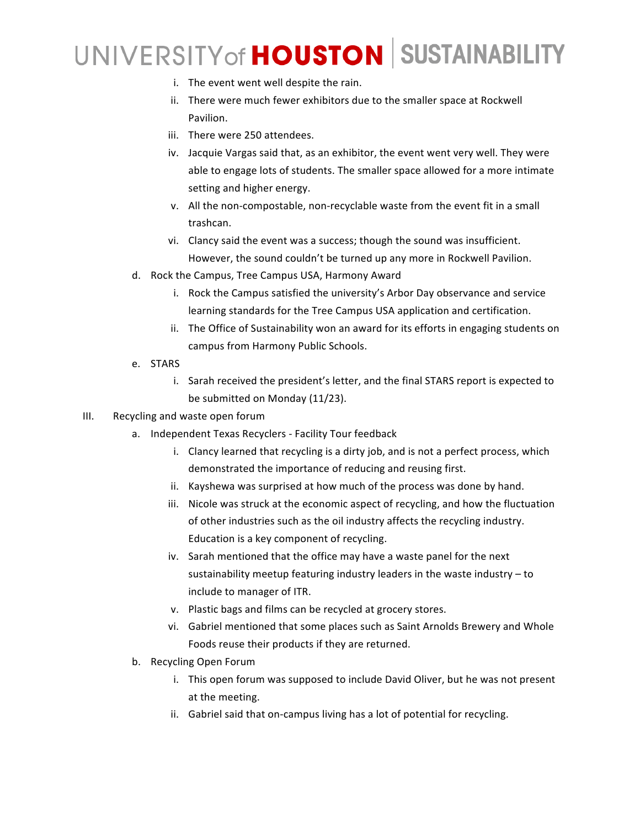- i. The event went well despite the rain.
- ii. There were much fewer exhibitors due to the smaller space at Rockwell Pavilion.
- iii. There were 250 attendees.
- iv. Jacquie Vargas said that, as an exhibitor, the event went very well. They were able to engage lots of students. The smaller space allowed for a more intimate setting and higher energy.
- v. All the non-compostable, non-recyclable waste from the event fit in a small trashcan.
- vi. Clancy said the event was a success; though the sound was insufficient. However, the sound couldn't be turned up any more in Rockwell Pavilion.
- d. Rock the Campus, Tree Campus USA, Harmony Award
	- i. Rock the Campus satisfied the university's Arbor Day observance and service learning standards for the Tree Campus USA application and certification.
	- ii. The Office of Sustainability won an award for its efforts in engaging students on campus from Harmony Public Schools.
- e. STARS
	- i. Sarah received the president's letter, and the final STARS report is expected to be submitted on Monday (11/23).
- III. Recycling and waste open forum
	- a. Independent Texas Recyclers Facility Tour feedback
		- i. Clancy learned that recycling is a dirty job, and is not a perfect process, which demonstrated the importance of reducing and reusing first.
		- ii. Kayshewa was surprised at how much of the process was done by hand.
		- iii. Nicole was struck at the economic aspect of recycling, and how the fluctuation of other industries such as the oil industry affects the recycling industry. Education is a key component of recycling.
		- iv. Sarah mentioned that the office may have a waste panel for the next sustainability meetup featuring industry leaders in the waste industry - to include to manager of ITR.
		- v. Plastic bags and films can be recycled at grocery stores.
		- vi. Gabriel mentioned that some places such as Saint Arnolds Brewery and Whole Foods reuse their products if they are returned.
	- b. Recycling Open Forum
		- i. This open forum was supposed to include David Oliver, but he was not present at the meeting.
		- ii. Gabriel said that on-campus living has a lot of potential for recycling.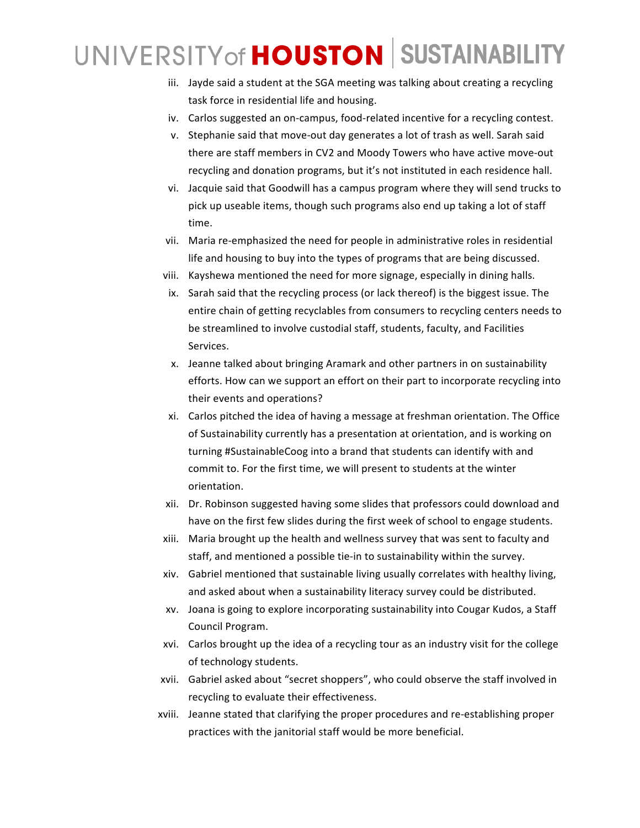- iii. Jayde said a student at the SGA meeting was talking about creating a recycling task force in residential life and housing.
- iv. Carlos suggested an on-campus, food-related incentive for a recycling contest.
- v. Stephanie said that move-out day generates a lot of trash as well. Sarah said there are staff members in CV2 and Moody Towers who have active move-out recycling and donation programs, but it's not instituted in each residence hall.
- vi. Jacquie said that Goodwill has a campus program where they will send trucks to pick up useable items, though such programs also end up taking a lot of staff time.
- vii. Maria re-emphasized the need for people in administrative roles in residential life and housing to buy into the types of programs that are being discussed.
- viii. Kayshewa mentioned the need for more signage, especially in dining halls.
- ix. Sarah said that the recycling process (or lack thereof) is the biggest issue. The entire chain of getting recyclables from consumers to recycling centers needs to be streamlined to involve custodial staff, students, faculty, and Facilities Services.
- x. Jeanne talked about bringing Aramark and other partners in on sustainability efforts. How can we support an effort on their part to incorporate recycling into their events and operations?
- xi. Carlos pitched the idea of having a message at freshman orientation. The Office of Sustainability currently has a presentation at orientation, and is working on turning #SustainableCoog into a brand that students can identify with and commit to. For the first time, we will present to students at the winter orientation.
- xii. Dr. Robinson suggested having some slides that professors could download and have on the first few slides during the first week of school to engage students.
- xiii. Maria brought up the health and wellness survey that was sent to faculty and staff, and mentioned a possible tie-in to sustainability within the survey.
- xiv. Gabriel mentioned that sustainable living usually correlates with healthy living, and asked about when a sustainability literacy survey could be distributed.
- xv. Joana is going to explore incorporating sustainability into Cougar Kudos, a Staff Council Program.
- xvi. Carlos brought up the idea of a recycling tour as an industry visit for the college of technology students.
- xvii. Gabriel asked about "secret shoppers", who could observe the staff involved in recycling to evaluate their effectiveness.
- xviii. Jeanne stated that clarifying the proper procedures and re-establishing proper practices with the janitorial staff would be more beneficial.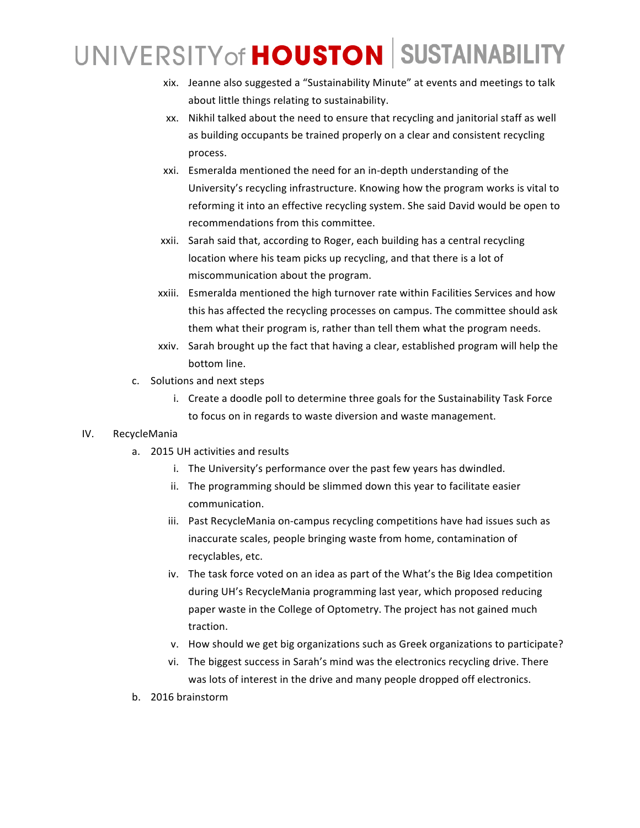- xix. Jeanne also suggested a "Sustainability Minute" at events and meetings to talk about little things relating to sustainability.
- xx. Nikhil talked about the need to ensure that recycling and janitorial staff as well as building occupants be trained properly on a clear and consistent recycling process.
- xxi. Esmeralda mentioned the need for an in-depth understanding of the University's recycling infrastructure. Knowing how the program works is vital to reforming it into an effective recycling system. She said David would be open to recommendations from this committee.
- xxii. Sarah said that, according to Roger, each building has a central recycling location where his team picks up recycling, and that there is a lot of miscommunication about the program.
- xxiii. Esmeralda mentioned the high turnover rate within Facilities Services and how this has affected the recycling processes on campus. The committee should ask them what their program is, rather than tell them what the program needs.
- xxiv. Sarah brought up the fact that having a clear, established program will help the bottom line.
- c. Solutions and next steps
	- i. Create a doodle poll to determine three goals for the Sustainability Task Force to focus on in regards to waste diversion and waste management.

#### IV. RecycleMania

- a. 2015 UH activities and results
	- i. The University's performance over the past few years has dwindled.
	- ii. The programming should be slimmed down this year to facilitate easier communication.
	- iii. Past RecycleMania on-campus recycling competitions have had issues such as inaccurate scales, people bringing waste from home, contamination of recyclables, etc.
	- iv. The task force voted on an idea as part of the What's the Big Idea competition during UH's RecycleMania programming last year, which proposed reducing paper waste in the College of Optometry. The project has not gained much traction.
	- v. How should we get big organizations such as Greek organizations to participate?
	- vi. The biggest success in Sarah's mind was the electronics recycling drive. There was lots of interest in the drive and many people dropped off electronics.
- b. 2016 brainstorm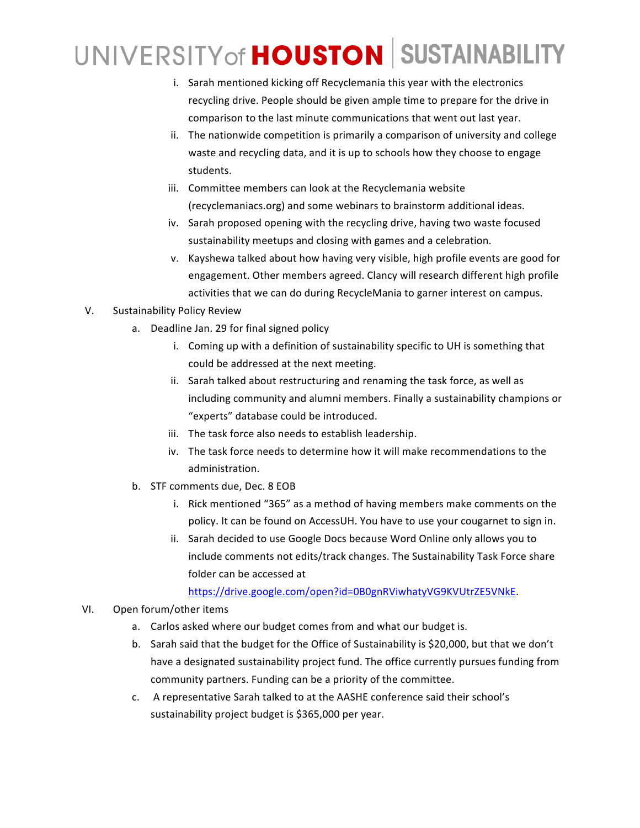- i. Sarah mentioned kicking off Recyclemania this year with the electronics recycling drive. People should be given ample time to prepare for the drive in comparison to the last minute communications that went out last year.
- ii. The nationwide competition is primarily a comparison of university and college waste and recycling data, and it is up to schools how they choose to engage students.
- iii. Committee members can look at the Recyclemania website (recyclemaniacs.org) and some webinars to brainstorm additional ideas.
- iv. Sarah proposed opening with the recycling drive, having two waste focused sustainability meetups and closing with games and a celebration.
- v. Kayshewa talked about how having very visible, high profile events are good for engagement. Other members agreed. Clancy will research different high profile activities that we can do during RecycleMania to garner interest on campus.
- V. Sustainability Policy Review
	- a. Deadline Jan. 29 for final signed policy
		- i. Coming up with a definition of sustainability specific to UH is something that could be addressed at the next meeting.
		- ii. Sarah talked about restructuring and renaming the task force, as well as including community and alumni members. Finally a sustainability champions or "experts" database could be introduced.
		- iii. The task force also needs to establish leadership.
		- iv. The task force needs to determine how it will make recommendations to the administration.
	- b. STF comments due, Dec. 8 EOB
		- i. Rick mentioned "365" as a method of having members make comments on the policy. It can be found on AccessUH. You have to use your cougarnet to sign in.
		- ii. Sarah decided to use Google Docs because Word Online only allows you to include comments not edits/track changes. The Sustainability Task Force share folder can be accessed at

https://drive.google.com/open?id=0B0gnRViwhatyVG9KVUtrZE5VNkE. 

- VI. Open forum/other items
	- a. Carlos asked where our budget comes from and what our budget is.
	- b. Sarah said that the budget for the Office of Sustainability is \$20,000, but that we don't have a designated sustainability project fund. The office currently pursues funding from community partners. Funding can be a priority of the committee.
	- c. A representative Sarah talked to at the AASHE conference said their school's sustainability project budget is \$365,000 per year.